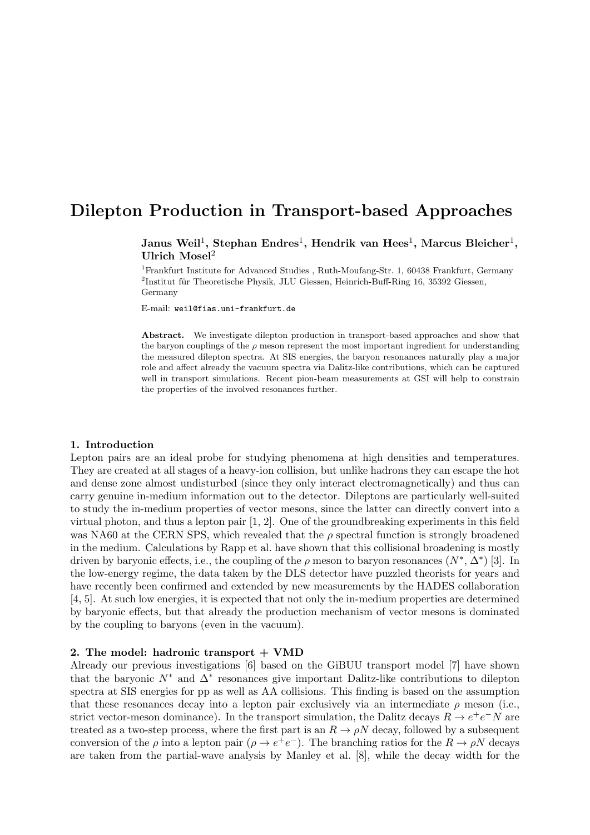# Dilepton Production in Transport-based Approaches

Janus Weil<sup>1</sup>, Stephan Endres<sup>1</sup>, Hendrik van Hees<sup>1</sup>, Marcus Bleicher<sup>1</sup>, Ulrich Mosel<sup>2</sup>

<sup>1</sup>Frankfurt Institute for Advanced Studies, Ruth-Moufang-Str. 1, 60438 Frankfurt, Germany  ${}^{2}$ Institut für Theoretische Physik, JLU Giessen, Heinrich-Buff-Ring 16, 35392 Giessen, Germany

E-mail: weil@fias.uni-frankfurt.de

Abstract. We investigate dilepton production in transport-based approaches and show that the baryon couplings of the  $\rho$  meson represent the most important ingredient for understanding the measured dilepton spectra. At SIS energies, the baryon resonances naturally play a major role and affect already the vacuum spectra via Dalitz-like contributions, which can be captured well in transport simulations. Recent pion-beam measurements at GSI will help to constrain the properties of the involved resonances further.

## 1. Introduction

Lepton pairs are an ideal probe for studying phenomena at high densities and temperatures. They are created at all stages of a heavy-ion collision, but unlike hadrons they can escape the hot and dense zone almost undisturbed (since they only interact electromagnetically) and thus can carry genuine in-medium information out to the detector. Dileptons are particularly well-suited to study the in-medium properties of vector mesons, since the latter can directly convert into a virtual photon, and thus a lepton pair [1, 2]. One of the groundbreaking experiments in this field was NA60 at the CERN SPS, which revealed that the  $\rho$  spectral function is strongly broadened in the medium. Calculations by Rapp et al. have shown that this collisional broadening is mostly driven by baryonic effects, i.e., the coupling of the  $\rho$  meson to baryon resonances  $(N^*, \Delta^*)$  [3]. In the low-energy regime, the data taken by the DLS detector have puzzled theorists for years and have recently been confirmed and extended by new measurements by the HADES collaboration [4, 5]. At such low energies, it is expected that not only the in-medium properties are determined by baryonic effects, but that already the production mechanism of vector mesons is dominated by the coupling to baryons (even in the vacuum).

## 2. The model: hadronic transport  $+$  VMD

Already our previous investigations [6] based on the GiBUU transport model [7] have shown that the baryonic  $N^*$  and  $\Delta^*$  resonances give important Dalitz-like contributions to dilepton spectra at SIS energies for pp as well as AA collisions. This finding is based on the assumption that these resonances decay into a lepton pair exclusively via an intermediate  $\rho$  meson (i.e., strict vector-meson dominance). In the transport simulation, the Dalitz decays  $R \to e^+e^-N$  are treated as a two-step process, where the first part is an  $R \to \rho N$  decay, followed by a subsequent conversion of the  $\rho$  into a lepton pair  $(\rho \to e^+e^-)$ . The branching ratios for the  $R \to \rho N$  decays are taken from the partial-wave analysis by Manley et al. [8], while the decay width for the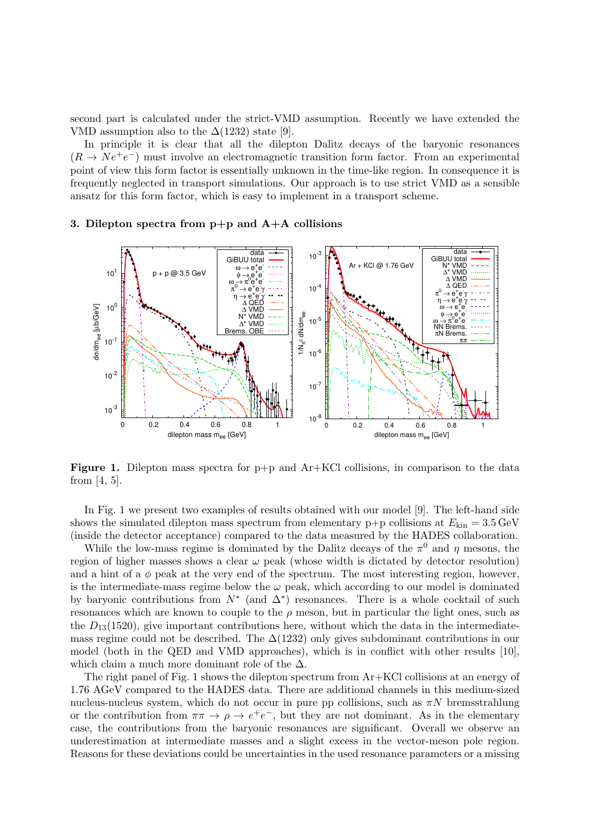second part is calculated under the strict-VMD assumption. Recently we have extended the VMD assumption also to the  $\Delta(1232)$  state [9].

In principle it is clear that all the dilepton Dalitz decays of the baryonic resonances  $(R \to Ne^+e^-)$  must involve an electromagnetic transition form factor. From an experimental point of view this form factor is essentially unknown in the time-like region. In consequence it is frequently neglected in transport simulations. Our approach is to use strict VMD as a sensible ansatz for this form factor, which is easy to implement in a transport scheme.



### 3. Dilepton spectra from  $p+p$  and  $A+A$  collisions

**Figure 1.** Dilepton mass spectra for  $p+p$  and  $Ar+KC$  collisions, in comparison to the data from [4, 5].

In Fig. 1 we present two examples of results obtained with our model [9]. The left-hand side shows the simulated dilepton mass spectrum from elementary p+p collisions at  $E_{kin} = 3.5 \,\text{GeV}$ (inside the detector acceptance) compared to the data measured by the HADES collaboration.

While the low-mass regime is dominated by the Dalitz decays of the  $\pi^0$  and  $\eta$  mesons, the region of higher masses shows a clear  $\omega$  peak (whose width is dictated by detector resolution) and a hint of a  $\phi$  peak at the very end of the spectrum. The most interesting region, however, is the intermediate-mass regime below the  $\omega$  peak, which according to our model is dominated by baryonic contributions from  $N^*$  (and  $\Delta^*$ ) resonances. There is a whole cocktail of such resonances which are known to couple to the  $\rho$  meson, but in particular the light ones, such as the  $D_{13}(1520)$ , give important contributions here, without which the data in the intermediatemass regime could not be described. The  $\Delta(1232)$  only gives subdominant contributions in our model (both in the QED and VMD approaches), which is in conflict with other results [10], which claim a much more dominant role of the  $\Delta$ .

The right panel of Fig. 1 shows the dilepton spectrum from Ar+KCl collisions at an energy of 1.76 AGeV compared to the HADES data. There are additional channels in this medium-sized nucleus-nucleus system, which do not occur in pure pp collisions, such as  $\pi N$  bremsstrahlung or the contribution from  $\pi \pi \to \rho \to e^+e^-$ , but they are not dominant. As in the elementary case, the contributions from the baryonic resonances are significant. Overall we observe an underestimation at intermediate masses and a slight excess in the vector-meson pole region. Reasons for these deviations could be uncertainties in the used resonance parameters or a missing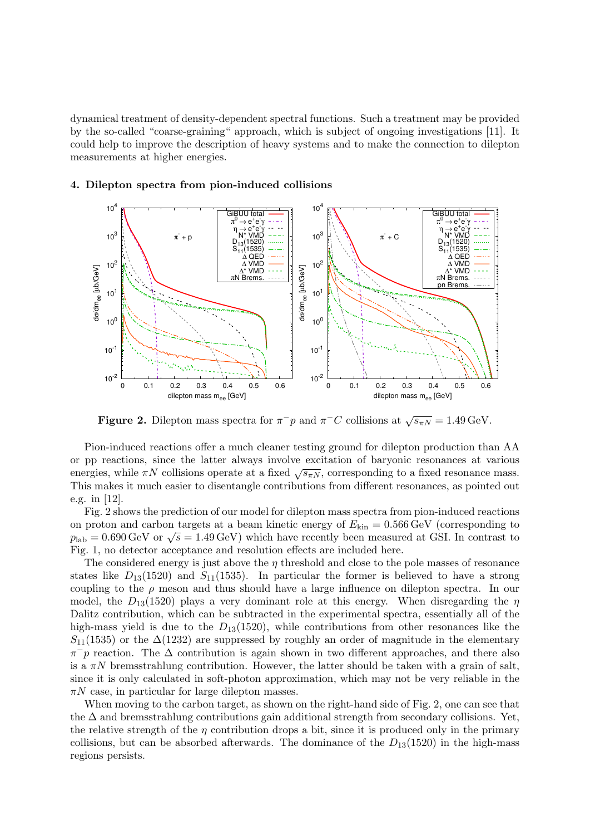dynamical treatment of density-dependent spectral functions. Such a treatment may be provided by the so-called "coarse-graining" approach, which is subject of ongoing investigations [11]. It could help to improve the description of heavy systems and to make the connection to dilepton measurements at higher energies.

# 4. Dilepton spectra from pion-induced collisions



**Figure 2.** Dilepton mass spectra for  $\pi^- p$  and  $\pi^- C$  collisions at  $\sqrt{s_{\pi N}} = 1.49 \,\text{GeV}$ .

Pion-induced reactions offer a much cleaner testing ground for dilepton production than AA or pp reactions, since the latter always involve excitation of baryonic resonances at various or pp reactions, since the latter always involve excitation or baryonic resonances at various energies, while  $\pi N$  collisions operate at a fixed  $\sqrt{s_{\pi N}}$ , corresponding to a fixed resonance mass. This makes it much easier to disentangle contributions from different resonances, as pointed out e.g. in [12].

Fig. 2 shows the prediction of our model for dilepton mass spectra from pion-induced reactions on proton and carbon targets at a beam kinetic energy of  $E_{kin} = 0.566 \text{ GeV}$  (corresponding to but proton and carbon targets at a beam kinetic energy of  $E_{kin} = 0.500 \text{ GeV}$  (corresponding to  $p_{lab} = 0.690 \text{ GeV}$  or  $\sqrt{s} = 1.49 \text{ GeV}$ ) which have recently been measured at GSI. In contrast to Fig. 1, no detector acceptance and resolution effects are included here.

The considered energy is just above the  $\eta$  threshold and close to the pole masses of resonance states like  $D_{13}(1520)$  and  $S_{11}(1535)$ . In particular the former is believed to have a strong coupling to the  $\rho$  meson and thus should have a large influence on dilepton spectra. In our model, the  $D_{13}(1520)$  plays a very dominant role at this energy. When disregarding the  $\eta$ Dalitz contribution, which can be subtracted in the experimental spectra, essentially all of the high-mass yield is due to the  $D_{13}(1520)$ , while contributions from other resonances like the  $S_{11}(1535)$  or the  $\Delta(1232)$  are suppressed by roughly an order of magnitude in the elementary  $\pi^-p$  reaction. The  $\Delta$  contribution is again shown in two different approaches, and there also is a  $\pi N$  bremsstrahlung contribution. However, the latter should be taken with a grain of salt, since it is only calculated in soft-photon approximation, which may not be very reliable in the  $\pi N$  case, in particular for large dilepton masses.

When moving to the carbon target, as shown on the right-hand side of Fig. 2, one can see that the  $\Delta$  and bremsstrahlung contributions gain additional strength from secondary collisions. Yet, the relative strength of the  $\eta$  contribution drops a bit, since it is produced only in the primary collisions, but can be absorbed afterwards. The dominance of the  $D_{13}(1520)$  in the high-mass regions persists.